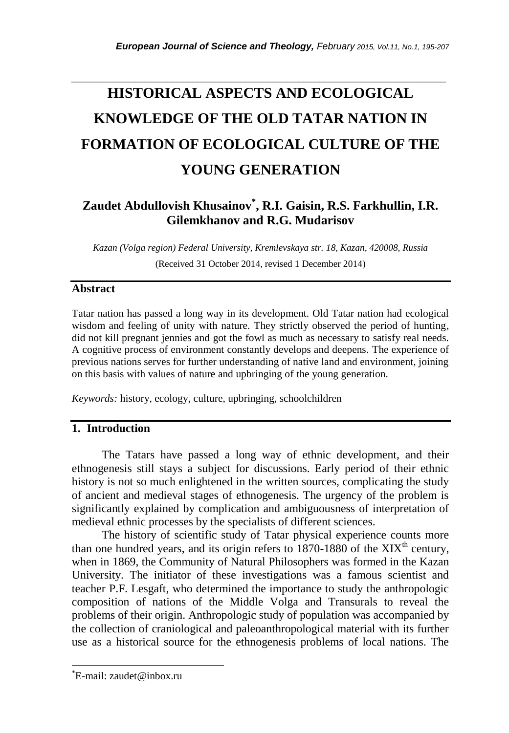# **HISTORICAL ASPECTS AND ECOLOGICAL KNOWLEDGE OF THE OLD TATAR NATION IN FORMATION OF ECOLOGICAL CULTURE OF THE YOUNG GENERATION**

*\_\_\_\_\_\_\_\_\_\_\_\_\_\_\_\_\_\_\_\_\_\_\_\_\_\_\_\_\_\_\_\_\_\_\_\_\_\_\_\_\_\_\_\_\_\_\_\_\_\_\_\_\_\_\_\_\_\_\_\_\_\_\_\_\_\_\_\_\_\_\_*

# **Zaudet Abdullovish Khusainov\* , R.I. Gaisin, R.S. Farkhullin, I.R. Gilemkhanov and R.G. Mudarisov**

*Kazan (Volga region) Federal University, Kremlevskaya str. 18, Kazan, 420008, Russia* (Received 31 October 2014, revised 1 December 2014)

# **Abstract**

Tatar nation has passed a long way in its development. Old Tatar nation had ecological wisdom and feeling of unity with nature. They strictly observed the period of hunting, did not kill pregnant jennies and got the fowl as much as necessary to satisfy real needs. A cognitive process of environment constantly develops and deepens. The experience of previous nations serves for further understanding of native land and environment, joining on this basis with values of nature and upbringing of the young generation.

*Keywords:* history, ecology, culture, upbringing, schoolchildren

# **1. Introduction**

The Tatars have passed a long way of ethnic development, and their ethnogenesis still stays a subject for discussions. Early period of their ethnic history is not so much enlightened in the written sources, complicating the study of ancient and medieval stages of ethnogenesis. The urgency of the problem is significantly explained by complication and ambiguousness of interpretation of medieval ethnic processes by the specialists of different sciences.

The history of scientific study of Tatar physical experience counts more than one hundred years, and its origin refers to  $1870-1880$  of the  $XIX<sup>th</sup>$  century, when in 1869, the Community of Natural Philosophers was formed in the Kazan University. The initiator of these investigations was a famous scientist and teacher P.F. Lesgaft, who determined the importance to study the anthropologic composition of nations of the Middle Volga and Transurals to reveal the problems of their origin. Anthropologic study of population was accompanied by the collection of craniological and paleoanthropological material with its further use as a historical source for the ethnogenesis problems of local nations. The

l

<sup>\*</sup>E-mail: zaudet@inbox.ru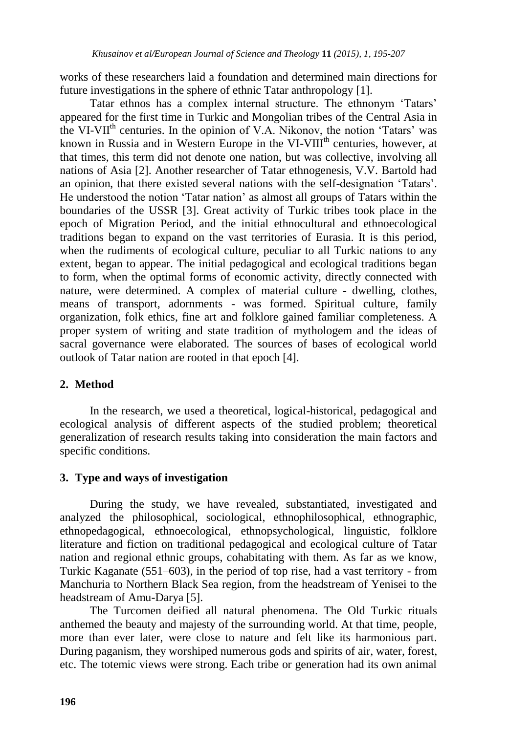works of these researchers laid a foundation and determined main directions for future investigations in the sphere of ethnic Tatar anthropology [1].

Tatar ethnos has a complex internal structure. The ethnonym "Tatars" appeared for the first time in Turkic and Mongolian tribes of the Central Asia in the VI-VII<sup>th</sup> centuries. In the opinion of V.A. Nikonov, the notion 'Tatars' was known in Russia and in Western Europe in the VI-VIII<sup>th</sup> centuries, however, at that times, this term did not denote one nation, but was collective, involving all nations of Asia [2]. Another researcher of Tatar ethnogenesis, V.V. Bartold had an opinion, that there existed several nations with the self-designation "Tatars". He understood the notion "Tatar nation" as almost all groups of Tatars within the boundaries of the USSR [3]. Great activity of Turkic tribes took place in the epoch of Migration Period, and the initial ethnocultural and ethnoecological traditions began to expand on the vast territories of Eurasia. It is this period, when the rudiments of ecological culture, peculiar to all Turkic nations to any extent, began to appear. The initial pedagogical and ecological traditions began to form, when the optimal forms of economic activity, directly connected with nature, were determined. A complex of material culture - dwelling, clothes, means of transport, adornments - was formed. Spiritual culture, family organization, folk ethics, fine art and folklore gained familiar completeness. A proper system of writing and state tradition of mythologem and the ideas of sacral governance were elaborated. The sources of bases of ecological world outlook of Tatar nation are rooted in that epoch [4].

#### **2. Method**

In the research, we used a theoretical, logical-historical, pedagogical and ecological analysis of different aspects of the studied problem; theoretical generalization of research results taking into consideration the main factors and specific conditions.

#### **3. Type and ways of investigation**

During the study, we have revealed, substantiated, investigated and analyzed the philosophical, sociological, ethnophilosophical, ethnographic, ethnopedagogical, ethnoecological, ethnopsychological, linguistic, folklore literature and fiction on traditional pedagogical and ecological culture of Tatar nation and regional ethnic groups, cohabitating with them. As far as we know, Turkic Kaganate (551–603), in the period of top rise, had a vast territory - from Manchuria to Northern Black Sea region, from the headstream of Yenisei to the headstream of Amu-Darya [5].

The Turcomen deified all natural phenomena. The Old Turkic rituals anthemed the beauty and majesty of the surrounding world. At that time, people, more than ever later, were close to nature and felt like its harmonious part. During paganism, they worshiped numerous gods and spirits of air, water, forest, etc. The totemic views were strong. Each tribe or generation had its own animal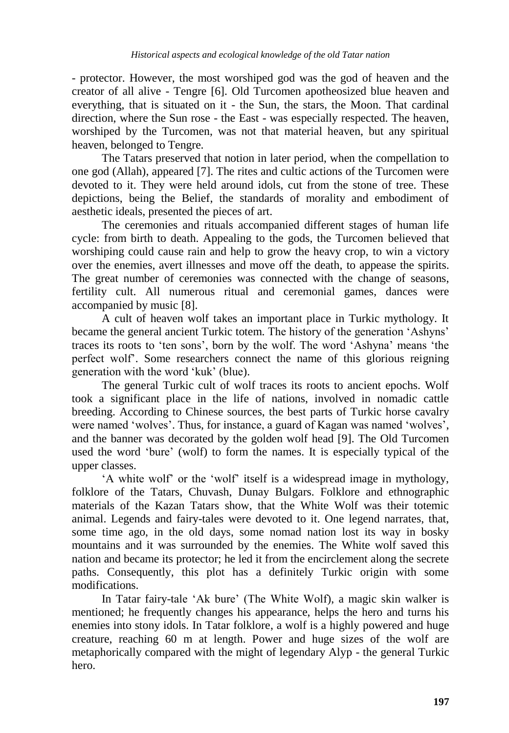- protector. However, the most worshiped god was the god of heaven and the creator of all alive - Tengre [6]. Old Turcomen apotheosized blue heaven and everything, that is situated on it - the Sun, the stars, the Moon. That cardinal direction, where the Sun rose - the East - was especially respected. The heaven, worshiped by the Turcomen, was not that material heaven, but any spiritual heaven, belonged to Tengre.

The Tatars preserved that notion in later period, when the compellation to one god (Allah), appeared [7]. The rites and cultic actions of the Turcomen were devoted to it. They were held around idols, cut from the stone of tree. These depictions, being the Belief, the standards of morality and embodiment of aesthetic ideals, presented the pieces of art.

The ceremonies and rituals accompanied different stages of human life cycle: from birth to death. Appealing to the gods, the Turcomen believed that worshiping could cause rain and help to grow the heavy crop, to win a victory over the enemies, avert illnesses and move off the death, to appease the spirits. The great number of ceremonies was connected with the change of seasons, fertility cult. All numerous ritual and ceremonial games, dances were accompanied by music [8].

A cult of heaven wolf takes an important place in Turkic mythology. It became the general ancient Turkic totem. The history of the generation "Ashyns" traces its roots to "ten sons", born by the wolf. The word "Ashyna" means "the perfect wolf". Some researchers connect the name of this glorious reigning generation with the word "kuk" (blue).

The general Turkic cult of wolf traces its roots to ancient epochs. Wolf took a significant place in the life of nations, involved in nomadic cattle breeding. According to Chinese sources, the best parts of Turkic horse cavalry were named 'wolves'. Thus, for instance, a guard of Kagan was named 'wolves', and the banner was decorated by the golden wolf head [9]. The Old Turcomen used the word "bure" (wolf) to form the names. It is especially typical of the upper classes.

"A white wolf" or the "wolf" itself is a widespread image in mythology, folklore of the Tatars, Chuvash, Dunay Bulgars. Folklore and ethnographic materials of the Kazan Tatars show, that the White Wolf was their totemic animal. Legends and fairy-tales were devoted to it. One legend narrates, that, some time ago, in the old days, some nomad nation lost its way in bosky mountains and it was surrounded by the enemies. The White wolf saved this nation and became its protector; he led it from the encirclement along the secrete paths. Consequently, this plot has a definitely Turkic origin with some modifications.

In Tatar fairy-tale 'Ak bure' (The White Wolf), a magic skin walker is mentioned; he frequently changes his appearance, helps the hero and turns his enemies into stony idols. In Tatar folklore, a wolf is a highly powered and huge creature, reaching 60 m at length. Power and huge sizes of the wolf are metaphorically compared with the might of legendary Alyp - the general Turkic hero.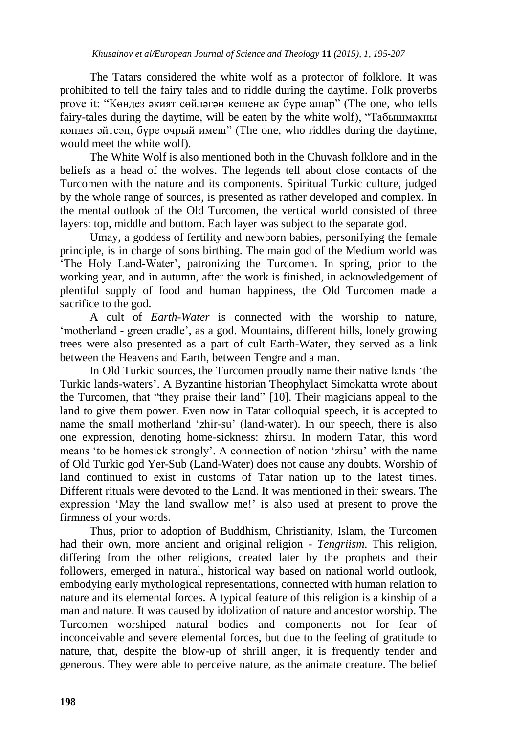The Tatars considered the white wolf as a protector of folklore. It was prohibited to tell the fairy tales and to riddle during the daytime. Folk proverbs prove it: "Көндез әкият сөйләгән кешене ак бүре ашар" (The one, who tells fairy-tales during the daytime, will be eaten by the white wolf), "Табышмакны көндез әйтсәң, бүре очрый имеш" (The one, who riddles during the daytime, would meet the white wolf).

The White Wolf is also mentioned both in the Chuvash folklore and in the beliefs as a head of the wolves. The legends tell about close contacts of the Turcomen with the nature and its components. Spiritual Turkic culture, judged by the whole range of sources, is presented as rather developed and complex. In the mental outlook of the Old Turcomen, the vertical world consisted of three layers: top, middle and bottom. Each layer was subject to the separate god.

Umay, a goddess of fertility and newborn babies, personifying the female principle, is in charge of sons birthing. The main god of the Medium world was The Holy Land-Water', patronizing the Turcomen. In spring, prior to the working year, and in autumn, after the work is finished, in acknowledgement of plentiful supply of food and human happiness, the Old Turcomen made a sacrifice to the god.

A cult of *Earth-Water* is connected with the worship to nature, 'motherland - green cradle', as a god. Mountains, different hills, lonely growing trees were also presented as a part of cult Earth-Water, they served as a link between the Heavens and Earth, between Tengre and a man.

In Old Turkic sources, the Turcomen proudly name their native lands "the Turkic lands-waters". A Byzantine historian Theophylact Simokatta wrote about the Turcomen, that "they praise their land" [10]. Their magicians appeal to the land to give them power. Even now in Tatar colloquial speech, it is accepted to name the small motherland "zhir-su" (land-water). In our speech, there is also one expression, denoting home-sickness: zhirsu. In modern Tatar, this word means "to be homesick strongly". A connection of notion "zhirsu" with the name of Old Turkic god Yer-Sub (Land-Water) does not cause any doubts. Worship of land continued to exist in customs of Tatar nation up to the latest times. Different rituals were devoted to the Land. It was mentioned in their swears. The expression 'May the land swallow me!' is also used at present to prove the firmness of your words.

Thus, prior to adoption of Buddhism, Christianity, Islam, the Turcomen had their own, more ancient and original religion - *Tengriism*. This religion, differing from the other religions, created later by the prophets and their followers, emerged in natural, historical way based on national world outlook, embodying early mythological representations, connected with human relation to nature and its elemental forces. A typical feature of this religion is a kinship of a man and nature. It was caused by idolization of nature and ancestor worship. The Turcomen worshiped natural bodies and components not for fear of inconceivable and severe elemental forces, but due to the feeling of gratitude to nature, that, despite the blow-up of shrill anger, it is frequently tender and generous. They were able to perceive nature, as the animate creature. The belief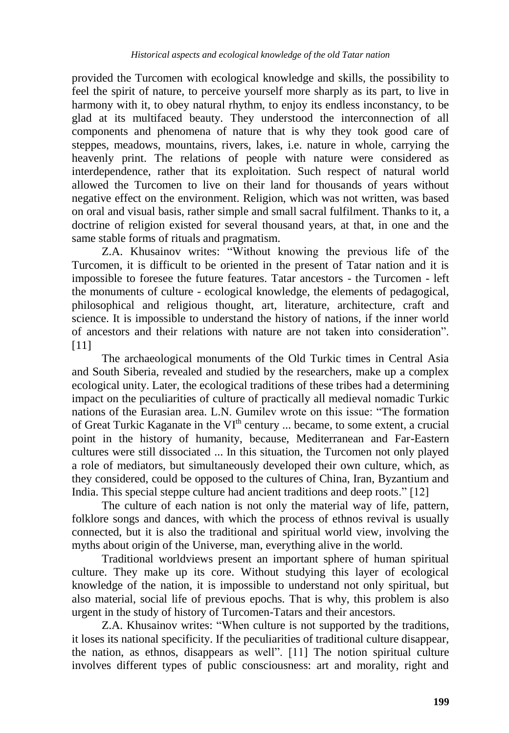provided the Turcomen with ecological knowledge and skills, the possibility to feel the spirit of nature, to perceive yourself more sharply as its part, to live in harmony with it, to obey natural rhythm, to enjoy its endless inconstancy, to be glad at its multifaced beauty. They understood the interconnection of all components and phenomena of nature that is why they took good care of steppes, meadows, mountains, rivers, lakes, i.e. nature in whole, carrying the heavenly print. The relations of people with nature were considered as interdependence, rather that its exploitation. Such respect of natural world allowed the Turcomen to live on their land for thousands of years without negative effect on the environment. Religion, which was not written, was based on oral and visual basis, rather simple and small sacral fulfilment. Thanks to it, a doctrine of religion existed for several thousand years, at that, in one and the same stable forms of rituals and pragmatism.

Z.A. Khusainov writes: "Without knowing the previous life of the Turcomen, it is difficult to be oriented in the present of Tatar nation and it is impossible to foresee the future features. Tatar ancestors - the Turcomen - left the monuments of culture - ecological knowledge, the elements of pedagogical, philosophical and religious thought, art, literature, architecture, craft and science. It is impossible to understand the history of nations, if the inner world of ancestors and their relations with nature are not taken into consideration". [11]

The archaeological monuments of the Old Turkic times in Central Asia and South Siberia, revealed and studied by the researchers, make up a complex ecological unity. Later, the ecological traditions of these tribes had a determining impact on the peculiarities of culture of practically all medieval nomadic Turkic nations of the Eurasian area. L.N. Gumilev wrote on this issue: "The formation of Great Turkic Kaganate in the  $VI<sup>th</sup>$  century ... became, to some extent, a crucial point in the history of humanity, because, Mediterranean and Far-Eastern cultures were still dissociated ... In this situation, the Turcomen not only played a role of mediators, but simultaneously developed their own culture, which, as they considered, could be opposed to the cultures of China, Iran, Byzantium and India. This special steppe culture had ancient traditions and deep roots." [12]

The culture of each nation is not only the material way of life, pattern, folklore songs and dances, with which the process of ethnos revival is usually connected, but it is also the traditional and spiritual world view, involving the myths about origin of the Universe, man, everything alive in the world.

Traditional worldviews present an important sphere of human spiritual culture. They make up its core. Without studying this layer of ecological knowledge of the nation, it is impossible to understand not only spiritual, but also material, social life of previous epochs. That is why, this problem is also urgent in the study of history of Turcomen-Tatars and their ancestors.

Z.A. Khusainov writes: "When culture is not supported by the traditions, it loses its national specificity. If the peculiarities of traditional culture disappear, the nation, as ethnos, disappears as well". [11] The notion spiritual culture involves different types of public consciousness: art and morality, right and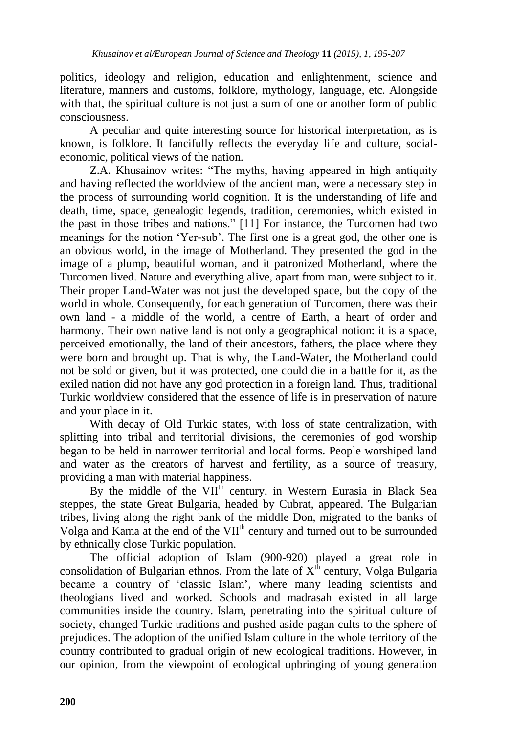politics, ideology and religion, education and enlightenment, science and literature, manners and customs, folklore, mythology, language, etc. Alongside with that, the spiritual culture is not just a sum of one or another form of public consciousness.

A peculiar and quite interesting source for historical interpretation, as is known, is folklore. It fancifully reflects the everyday life and culture, socialeconomic, political views of the nation.

Z.A. Khusainov writes: "The myths, having appeared in high antiquity and having reflected the worldview of the ancient man, were a necessary step in the process of surrounding world cognition. It is the understanding of life and death, time, space, genealogic legends, tradition, ceremonies, which existed in the past in those tribes and nations." [11] For instance, the Turcomen had two meanings for the notion "Yer-sub". The first one is a great god, the other one is an obvious world, in the image of Motherland. They presented the god in the image of a plump, beautiful woman, and it patronized Motherland, where the Turcomen lived. Nature and everything alive, apart from man, were subject to it. Their proper Land-Water was not just the developed space, but the copy of the world in whole. Consequently, for each generation of Turcomen, there was their own land - a middle of the world, a centre of Earth, a heart of order and harmony. Their own native land is not only a geographical notion: it is a space, perceived emotionally, the land of their ancestors, fathers, the place where they were born and brought up. That is why, the Land-Water, the Motherland could not be sold or given, but it was protected, one could die in a battle for it, as the exiled nation did not have any god protection in a foreign land. Thus, traditional Turkic worldview considered that the essence of life is in preservation of nature and your place in it.

With decay of Old Turkic states, with loss of state centralization, with splitting into tribal and territorial divisions, the ceremonies of god worship began to be held in narrower territorial and local forms. People worshiped land and water as the creators of harvest and fertility, as a source of treasury, providing a man with material happiness.

By the middle of the  $VI^{\hat{th}}$  century, in Western Eurasia in Black Sea steppes, the state Great Bulgaria, headed by Cubrat, appeared. The Bulgarian tribes, living along the right bank of the middle Don, migrated to the banks of Volga and Kama at the end of the VII<sup>th</sup> century and turned out to be surrounded by ethnically close Turkic population.

The official adoption of Islam (900-920) played a great role in consolidation of Bulgarian ethnos. From the late of  $X<sup>th</sup>$  century, Volga Bulgaria became a country of "classic Islam", where many leading scientists and theologians lived and worked. Schools and madrasah existed in all large communities inside the country. Islam, penetrating into the spiritual culture of society, changed Turkic traditions and pushed aside pagan cults to the sphere of prejudices. The adoption of the unified Islam culture in the whole territory of the country contributed to gradual origin of new ecological traditions. However, in our opinion, from the viewpoint of ecological upbringing of young generation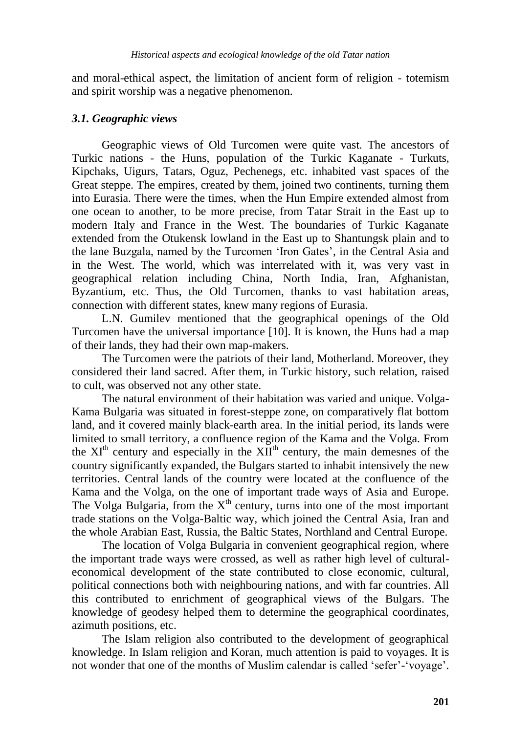and moral-ethical aspect, the limitation of ancient form of religion - totemism and spirit worship was a negative phenomenon.

#### *3.1. Geographic views*

Geographic views of Old Turcomen were quite vast. The ancestors of Turkic nations - the Huns, population of the Turkic Kaganate - Turkuts, Kipchaks, Uigurs, Tatars, Oguz, Pechenegs, etc. inhabited vast spaces of the Great steppe. The empires, created by them, joined two continents, turning them into Eurasia. There were the times, when the Hun Empire extended almost from one ocean to another, to be more precise, from Tatar Strait in the East up to modern Italy and France in the West. The boundaries of Turkic Kaganate extended from the Otukensk lowland in the East up to Shantungsk plain and to the lane Buzgala, named by the Turcomen "Iron Gates", in the Central Asia and in the West. The world, which was interrelated with it, was very vast in geographical relation including China, North India, Iran, Afghanistan, Byzantium, etc. Thus, the Old Turcomen, thanks to vast habitation areas, connection with different states, knew many regions of Eurasia.

L.N. Gumilev mentioned that the geographical openings of the Old Turcomen have the universal importance [10]. It is known, the Huns had a map of their lands, they had their own map-makers.

The Turcomen were the patriots of their land, Motherland. Moreover, they considered their land sacred. After them, in Turkic history, such relation, raised to cult, was observed not any other state.

The natural environment of their habitation was varied and unique. Volga-Kama Bulgaria was situated in forest-steppe zone, on comparatively flat bottom land, and it covered mainly black-earth area. In the initial period, its lands were limited to small territory, a confluence region of the Kama and the Volga. From the  $XI<sup>th</sup>$  century and especially in the  $XII<sup>th</sup>$  century, the main demesnes of the country significantly expanded, the Bulgars started to inhabit intensively the new territories. Central lands of the country were located at the confluence of the Kama and the Volga, on the one of important trade ways of Asia and Europe. The Volga Bulgaria, from the  $X<sup>th</sup>$  century, turns into one of the most important trade stations on the Volga-Baltic way, which joined the Central Asia, Iran and the whole Arabian East, Russia, the Baltic States, Northland and Central Europe.

The location of Volga Bulgaria in convenient geographical region, where the important trade ways were crossed, as well as rather high level of culturaleconomical development of the state contributed to close economic, cultural, political connections both with neighbouring nations, and with far countries. All this contributed to enrichment of geographical views of the Bulgars. The knowledge of geodesy helped them to determine the geographical coordinates, azimuth positions, etc.

The Islam religion also contributed to the development of geographical knowledge. In Islam religion and Koran, much attention is paid to voyages. It is not wonder that one of the months of Muslim calendar is called 'sefer'-'voyage'.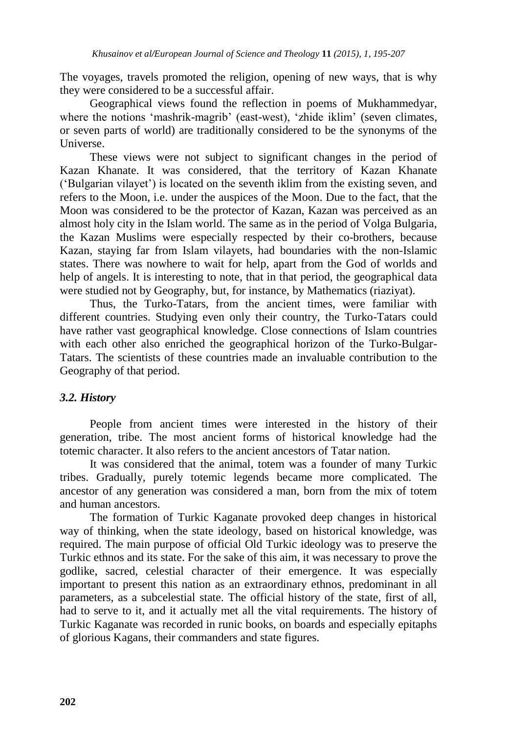The voyages, travels promoted the religion, opening of new ways, that is why they were considered to be a successful affair.

Geographical views found the reflection in poems of Mukhammedyar, where the notions 'mashrik-magrib' (east-west), 'zhide iklim' (seven climates, or seven parts of world) are traditionally considered to be the synonyms of the Universe.

These views were not subject to significant changes in the period of Kazan Khanate. It was considered, that the territory of Kazan Khanate ("Bulgarian vilayet") is located on the seventh iklim from the existing seven, and refers to the Moon, i.e. under the auspices of the Moon. Due to the fact, that the Moon was considered to be the protector of Kazan, Kazan was perceived as an almost holy city in the Islam world. The same as in the period of Volga Bulgaria, the Kazan Muslims were especially respected by their co-brothers, because Kazan, staying far from Islam vilayets, had boundaries with the non-Islamic states. There was nowhere to wait for help, apart from the God of worlds and help of angels. It is interesting to note, that in that period, the geographical data were studied not by Geography, but, for instance, by Mathematics (riaziyat).

Thus, the Turko-Tatars, from the ancient times, were familiar with different countries. Studying even only their country, the Turko-Tatars could have rather vast geographical knowledge. Close connections of Islam countries with each other also enriched the geographical horizon of the Turko-Bulgar-Tatars. The scientists of these countries made an invaluable contribution to the Geography of that period.

#### *3.2. History*

People from ancient times were interested in the history of their generation, tribe. The most ancient forms of historical knowledge had the totemic character. It also refers to the ancient ancestors of Tatar nation.

It was considered that the animal, totem was a founder of many Turkic tribes. Gradually, purely totemic legends became more complicated. The ancestor of any generation was considered a man, born from the mix of totem and human ancestors.

The formation of Turkic Kaganate provoked deep changes in historical way of thinking, when the state ideology, based on historical knowledge, was required. The main purpose of official Old Turkic ideology was to preserve the Turkic ethnos and its state. For the sake of this aim, it was necessary to prove the godlike, sacred, celestial character of their emergence. It was especially important to present this nation as an extraordinary ethnos, predominant in all parameters, as a subcelestial state. The official history of the state, first of all, had to serve to it, and it actually met all the vital requirements. The history of Turkic Kaganate was recorded in runic books, on boards and especially epitaphs of glorious Kagans, their commanders and state figures.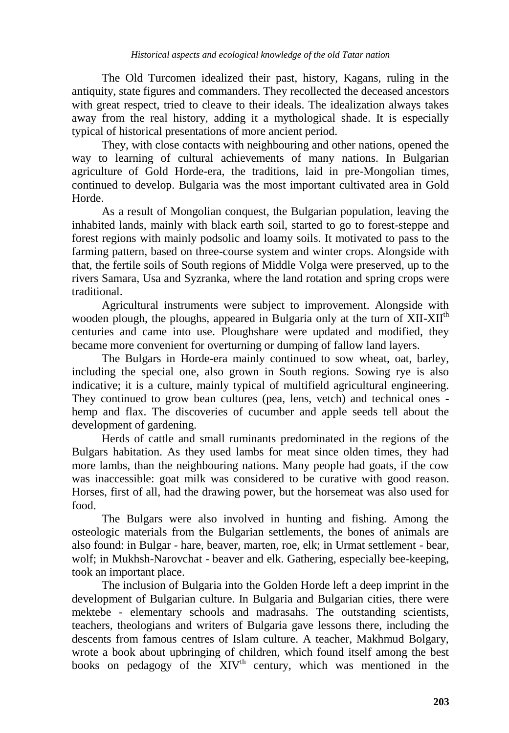The Old Turcomen idealized their past, history, Kagans, ruling in the antiquity, state figures and commanders. They recollected the deceased ancestors with great respect, tried to cleave to their ideals. The idealization always takes away from the real history, adding it a mythological shade. It is especially typical of historical presentations of more ancient period.

They, with close contacts with neighbouring and other nations, opened the way to learning of cultural achievements of many nations. In Bulgarian agriculture of Gold Horde-era, the traditions, laid in pre-Mongolian times, continued to develop. Bulgaria was the most important cultivated area in Gold Horde.

As a result of Mongolian conquest, the Bulgarian population, leaving the inhabited lands, mainly with black earth soil, started to go to forest-steppe and forest regions with mainly podsolic and loamy soils. It motivated to pass to the farming pattern, based on three-course system and winter crops. Alongside with that, the fertile soils of South regions of Middle Volga were preserved, up to the rivers Samara, Usa and Syzranka, where the land rotation and spring crops were traditional.

Agricultural instruments were subject to improvement. Alongside with wooden plough, the ploughs, appeared in Bulgaria only at the turn of XII-XII<sup>th</sup> centuries and came into use. Ploughshare were updated and modified, they became more convenient for overturning or dumping of fallow land layers.

The Bulgars in Horde-era mainly continued to sow wheat, oat, barley, including the special one, also grown in South regions. Sowing rye is also indicative; it is a culture, mainly typical of multifield agricultural engineering. They continued to grow bean cultures (pea, lens, vetch) and technical ones hemp and flax. The discoveries of cucumber and apple seeds tell about the development of gardening.

Herds of cattle and small ruminants predominated in the regions of the Bulgars habitation. As they used lambs for meat since olden times, they had more lambs, than the neighbouring nations. Many people had goats, if the cow was inaccessible: goat milk was considered to be curative with good reason. Horses, first of all, had the drawing power, but the horsemeat was also used for food.

The Bulgars were also involved in hunting and fishing. Among the osteologic materials from the Bulgarian settlements, the bones of animals are also found: in Bulgar - hare, beaver, marten, roe, elk; in Urmat settlement - bear, wolf; in Mukhsh-Narovchat - beaver and elk. Gathering, especially bee-keeping, took an important place.

The inclusion of Bulgaria into the Golden Horde left a deep imprint in the development of Bulgarian culture. In Bulgaria and Bulgarian cities, there were mektebe - elementary schools and madrasahs. The outstanding scientists, teachers, theologians and writers of Bulgaria gave lessons there, including the descents from famous centres of Islam culture. A teacher, Makhmud Bolgary, wrote a book about upbringing of children, which found itself among the best books on pedagogy of the  $XIV<sup>th</sup>$  century, which was mentioned in the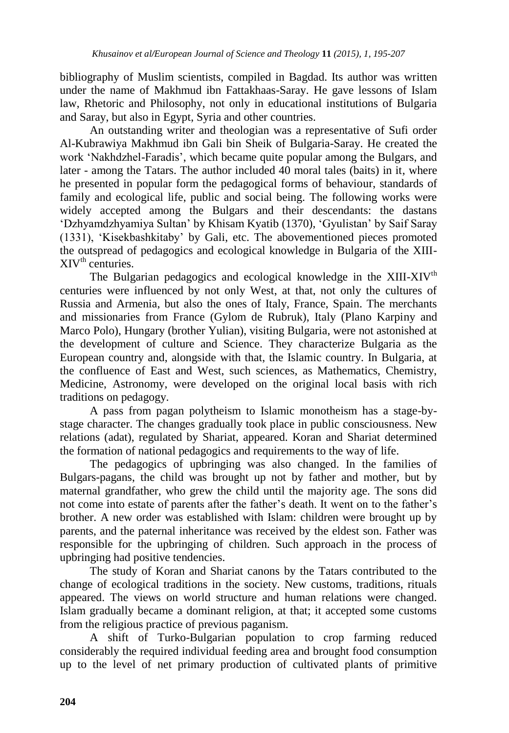bibliography of Muslim scientists, compiled in Bagdad. Its author was written under the name of Makhmud ibn Fattakhaas-Saray. He gave lessons of Islam law, Rhetoric and Philosophy, not only in educational institutions of Bulgaria and Saray, but also in Egypt, Syria and other countries.

An outstanding writer and theologian was a representative of Sufi order Al-Kubrawiya Makhmud ibn Gali bin Sheik of Bulgaria-Saray. He created the work "Nakhdzhel-Faradis", which became quite popular among the Bulgars, and later - among the Tatars. The author included 40 moral tales (baits) in it, where he presented in popular form the pedagogical forms of behaviour, standards of family and ecological life, public and social being. The following works were widely accepted among the Bulgars and their descendants: the dastans "Dzhyamdzhyamiya Sultan" by Khisam Kyatib (1370), "Gyulistan" by Saif Saray (1331), "Kisekbashkitaby" by Gali, etc. The abovementioned pieces promoted the outspread of pedagogics and ecological knowledge in Bulgaria of the XIII- $XIV<sup>th</sup>$  centuries.

The Bulgarian pedagogics and ecological knowledge in the XIII-XIV<sup>th</sup> centuries were influenced by not only West, at that, not only the cultures of Russia and Armenia, but also the ones of Italy, France, Spain. The merchants and missionaries from France (Gylom de Rubruk), Italy (Plano Karpiny and Marco Polo), Hungary (brother Yulian), visiting Bulgaria, were not astonished at the development of culture and Science. They characterize Bulgaria as the European country and, alongside with that, the Islamic country. In Bulgaria, at the confluence of East and West, such sciences, as Mathematics, Chemistry, Medicine, Astronomy, were developed on the original local basis with rich traditions on pedagogy.

A pass from pagan polytheism to Islamic monotheism has a stage-bystage character. The changes gradually took place in public consciousness. New relations (adat), regulated by Shariat, appeared. Koran and Shariat determined the formation of national pedagogics and requirements to the way of life.

The pedagogics of upbringing was also changed. In the families of Bulgars-pagans, the child was brought up not by father and mother, but by maternal grandfather, who grew the child until the majority age. The sons did not come into estate of parents after the father"s death. It went on to the father"s brother. A new order was established with Islam: children were brought up by parents, and the paternal inheritance was received by the eldest son. Father was responsible for the upbringing of children. Such approach in the process of upbringing had positive tendencies.

The study of Koran and Shariat canons by the Tatars contributed to the change of ecological traditions in the society. New customs, traditions, rituals appeared. The views on world structure and human relations were changed. Islam gradually became a dominant religion, at that; it accepted some customs from the religious practice of previous paganism.

A shift of Turko-Bulgarian population to crop farming reduced considerably the required individual feeding area and brought food consumption up to the level of net primary production of cultivated plants of primitive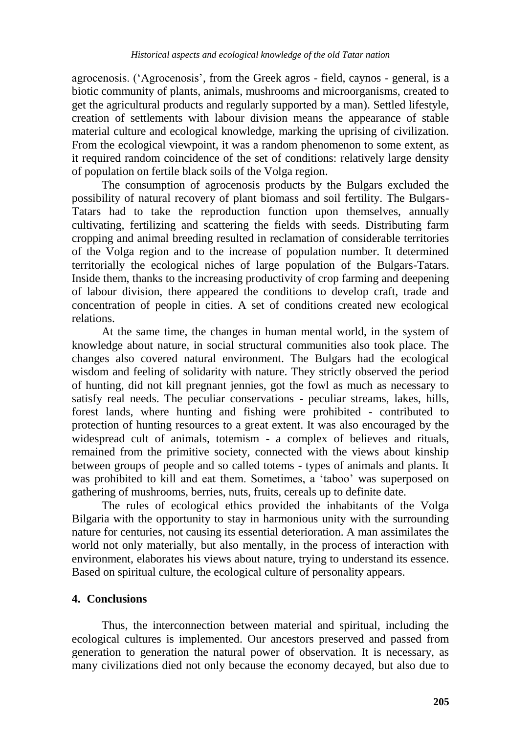agrocenosis. ("Agrocenosis", from the Greek agros - field, caynos - general, is a biotic community of plants, animals, mushrooms and microorganisms, created to get the agricultural products and regularly supported by a man). Settled lifestyle, creation of settlements with labour division means the appearance of stable material culture and ecological knowledge, marking the uprising of civilization. From the ecological viewpoint, it was a random phenomenon to some extent, as it required random coincidence of the set of conditions: relatively large density of population on fertile black soils of the Volga region.

The consumption of agrocenosis products by the Bulgars excluded the possibility of natural recovery of plant biomass and soil fertility. The Bulgars-Tatars had to take the reproduction function upon themselves, annually cultivating, fertilizing and scattering the fields with seeds. Distributing farm cropping and animal breeding resulted in reclamation of considerable territories of the Volga region and to the increase of population number. It determined territorially the ecological niches of large population of the Bulgars-Tatars. Inside them, thanks to the increasing productivity of crop farming and deepening of labour division, there appeared the conditions to develop craft, trade and concentration of people in cities. A set of conditions created new ecological relations.

At the same time, the changes in human mental world, in the system of knowledge about nature, in social structural communities also took place. The changes also covered natural environment. The Bulgars had the ecological wisdom and feeling of solidarity with nature. They strictly observed the period of hunting, did not kill pregnant jennies, got the fowl as much as necessary to satisfy real needs. The peculiar conservations - peculiar streams, lakes, hills, forest lands, where hunting and fishing were prohibited - contributed to protection of hunting resources to a great extent. It was also encouraged by the widespread cult of animals, totemism - a complex of believes and rituals, remained from the primitive society, connected with the views about kinship between groups of people and so called totems - types of animals and plants. It was prohibited to kill and eat them. Sometimes, a 'taboo' was superposed on gathering of mushrooms, berries, nuts, fruits, cereals up to definite date.

The rules of ecological ethics provided the inhabitants of the Volga Bilgaria with the opportunity to stay in harmonious unity with the surrounding nature for centuries, not causing its essential deterioration. A man assimilates the world not only materially, but also mentally, in the process of interaction with environment, elaborates his views about nature, trying to understand its essence. Based on spiritual culture, the ecological culture of personality appears.

# **4. Conclusions**

Thus, the interconnection between material and spiritual, including the ecological cultures is implemented. Our ancestors preserved and passed from generation to generation the natural power of observation. It is necessary, as many civilizations died not only because the economy decayed, but also due to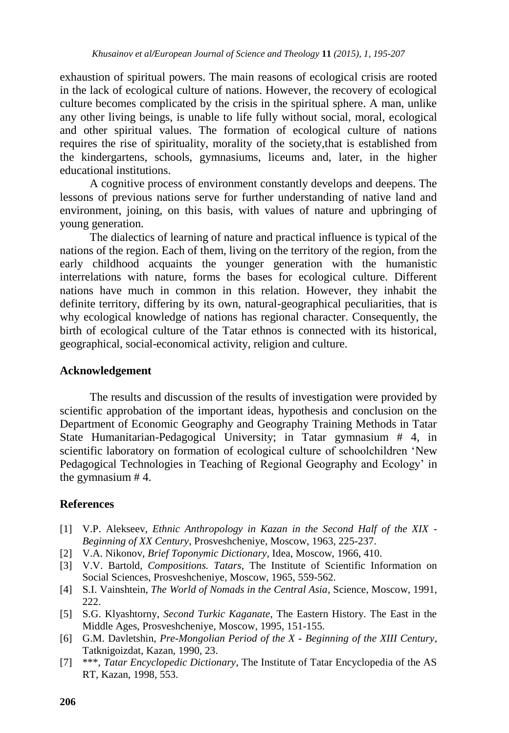exhaustion of spiritual powers. The main reasons of ecological crisis are rooted in the lack of ecological culture of nations. However, the recovery of ecological culture becomes complicated by the crisis in the spiritual sphere. A man, unlike any other living beings, is unable to life fully without social, moral, ecological and other spiritual values. The formation of ecological culture of nations requires the rise of spirituality, morality of the society,that is established from the kindergartens, schools, gymnasiums, liceums and, later, in the higher educational institutions.

A cognitive process of environment constantly develops and deepens. The lessons of previous nations serve for further understanding of native land and environment, joining, on this basis, with values of nature and upbringing of young generation.

The dialectics of learning of nature and practical influence is typical of the nations of the region. Each of them, living on the territory of the region, from the early childhood acquaints the younger generation with the humanistic interrelations with nature, forms the bases for ecological culture. Different nations have much in common in this relation. However, they inhabit the definite territory, differing by its own, natural-geographical peculiarities, that is why ecological knowledge of nations has regional character. Consequently, the birth of ecological culture of the Tatar ethnos is connected with its historical, geographical, social-economical activity, religion and culture.

### **Acknowledgement**

The results and discussion of the results of investigation were provided by scientific approbation of the important ideas, hypothesis and conclusion on the Department of Economic Geography and Geography Training Methods in Tatar State Humanitarian-Pedagogical University; in Tatar gymnasium # 4, in scientific laboratory on formation of ecological culture of schoolchildren "New Pedagogical Technologies in Teaching of Regional Geography and Ecology' in the gymnasium # 4.

# **References**

- [1] V.P. Alekseev, *Ethnic Anthropology in Kazan in the Second Half of the XIX - Beginning of XX Century*, Prosveshcheniye, Moscow, 1963, 225-237.
- [2] V.A. Nikonov, *Brief Toponymic Dictionary*, Idea, Moscow, 1966, 410.
- [3] V.V. Bartold, *Compositions. Tatars*, The Institute of Scientific Information on Social Sciences, Prosveshcheniye, Moscow, 1965, 559-562.
- [4] S.I. Vainshtein, *The World of Nomads in the Central Asia*, Science, Moscow, 1991, 222.
- [5] S.G. Klyashtorny, *Second Turkic Kaganate*, The Eastern History. The East in the Middle Ages, Prosveshcheniye, Moscow, 1995, 151-155.
- [6] G.M. Davletshin, *Pre-Mongolian Period of the X - Beginning of the XIII Century*, Tatknigoizdat, Kazan, 1990, 23.
- [7] \*\*\*, *Tatar Encyclopedic Dictionary*, The Institute of Tatar Encyclopedia of the AS RT, Kazan, 1998, 553.